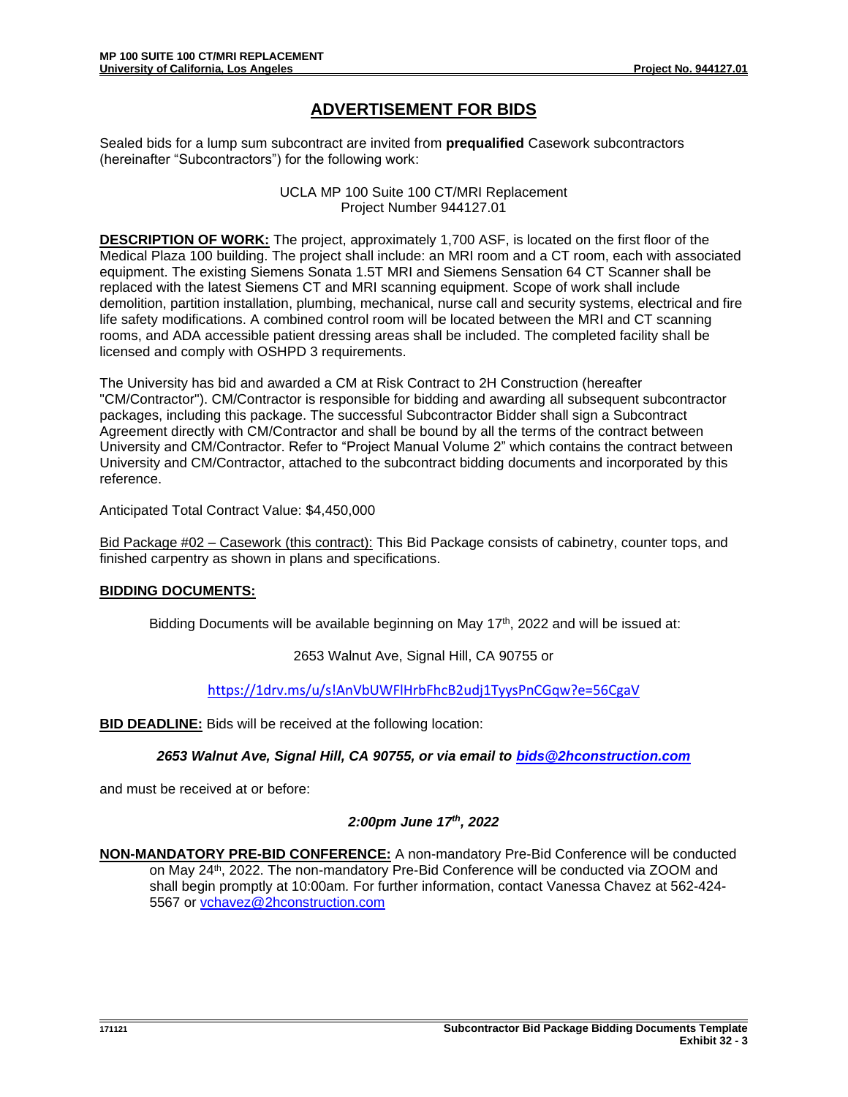## **ADVERTISEMENT FOR BIDS**

Sealed bids for a lump sum subcontract are invited from **prequalified** Casework subcontractors (hereinafter "Subcontractors") for the following work:

> UCLA MP 100 Suite 100 CT/MRI Replacement Project Number 944127.01

**DESCRIPTION OF WORK:** The project, approximately 1,700 ASF, is located on the first floor of the Medical Plaza 100 building. The project shall include: an MRI room and a CT room, each with associated equipment. The existing Siemens Sonata 1.5T MRI and Siemens Sensation 64 CT Scanner shall be replaced with the latest Siemens CT and MRI scanning equipment. Scope of work shall include demolition, partition installation, plumbing, mechanical, nurse call and security systems, electrical and fire life safety modifications. A combined control room will be located between the MRI and CT scanning rooms, and ADA accessible patient dressing areas shall be included. The completed facility shall be licensed and comply with OSHPD 3 requirements.

The University has bid and awarded a CM at Risk Contract to 2H Construction (hereafter "CM/Contractor"). CM/Contractor is responsible for bidding and awarding all subsequent subcontractor packages, including this package. The successful Subcontractor Bidder shall sign a Subcontract Agreement directly with CM/Contractor and shall be bound by all the terms of the contract between University and CM/Contractor. Refer to "Project Manual Volume 2" which contains the contract between University and CM/Contractor, attached to the subcontract bidding documents and incorporated by this reference.

Anticipated Total Contract Value: \$4,450,000

Bid Package #02 – Casework (this contract): This Bid Package consists of cabinetry, counter tops, and finished carpentry as shown in plans and specifications.

## **BIDDING DOCUMENTS:**

Bidding Documents will be available beginning on May  $17<sup>th</sup>$ , 2022 and will be issued at:

2653 Walnut Ave, Signal Hill, CA 90755 or

<https://1drv.ms/u/s!AnVbUWFlHrbFhcB2udj1TyysPnCGqw?e=56CgaV>

**BID DEADLINE:** Bids will be received at the following location:

*2653 Walnut Ave, Signal Hill, CA 90755, or via email to [bids@2hconstruction.com](mailto:bids@2hconstruction.com)*

and must be received at or before:

## *2:00pm June 17th, 2022*

**NON-MANDATORY PRE-BID CONFERENCE:** A non-mandatory Pre-Bid Conference will be conducted on May 24<sup>th</sup>, 2022. The non-mandatory Pre-Bid Conference will be conducted via ZOOM and shall begin promptly at 10:00am*.* For further information, contact Vanessa Chavez at 562-424- 5567 or [vchavez@2hconstruction.com](mailto:vchavez@2hconstruction.com)